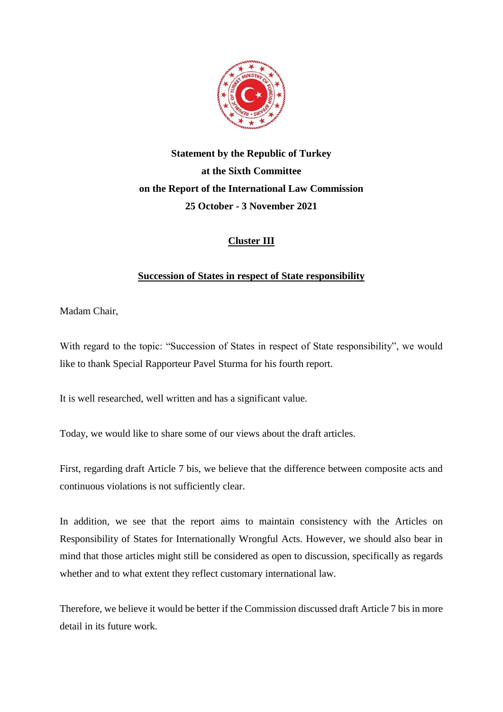

# **Statement by the Republic of Turkey at the Sixth Committee on the Report of the International Law Commission 25 October - 3 November 2021**

## **Cluster III**

### **Succession of States in respect of State responsibility**

Madam Chair,

With regard to the topic: "Succession of States in respect of State responsibility", we would like to thank Special Rapporteur Pavel Sturma for his fourth report.

It is well researched, well written and has a significant value.

Today, we would like to share some of our views about the draft articles.

First, regarding draft Article 7 bis, we believe that the difference between composite acts and continuous violations is not sufficiently clear.

In addition, we see that the report aims to maintain consistency with the Articles on Responsibility of States for Internationally Wrongful Acts. However, we should also bear in mind that those articles might still be considered as open to discussion, specifically as regards whether and to what extent they reflect customary international law.

Therefore, we believe it would be better if the Commission discussed draft Article 7 bis in more detail in its future work.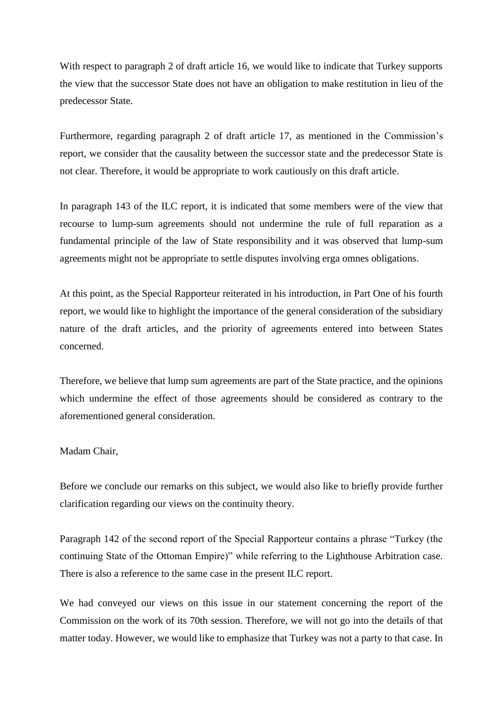With respect to paragraph 2 of draft article 16, we would like to indicate that Turkey supports the view that the successor State does not have an obligation to make restitution in lieu of the predecessor State.

Furthermore, regarding paragraph 2 of draft article 17, as mentioned in the Commission's report, we consider that the causality between the successor state and the predecessor State is not clear. Therefore, it would be appropriate to work cautiously on this draft article.

In paragraph 143 of the ILC report, it is indicated that some members were of the view that recourse to lump-sum agreements should not undermine the rule of full reparation as a fundamental principle of the law of State responsibility and it was observed that lump-sum agreements might not be appropriate to settle disputes involving erga omnes obligations.

At this point, as the Special Rapporteur reiterated in his introduction, in Part One of his fourth report, we would like to highlight the importance of the general consideration of the subsidiary nature of the draft articles, and the priority of agreements entered into between States concerned.

Therefore, we believe that lump sum agreements are part of the State practice, and the opinions which undermine the effect of those agreements should be considered as contrary to the aforementioned general consideration.

#### Madam Chair,

Before we conclude our remarks on this subject, we would also like to briefly provide further clarification regarding our views on the continuity theory.

Paragraph 142 of the second report of the Special Rapporteur contains a phrase "Turkey (the continuing State of the Ottoman Empire)" while referring to the Lighthouse Arbitration case. There is also a reference to the same case in the present ILC report.

We had conveyed our views on this issue in our statement concerning the report of the Commission on the work of its 70th session. Therefore, we will not go into the details of that matter today. However, we would like to emphasize that Turkey was not a party to that case. In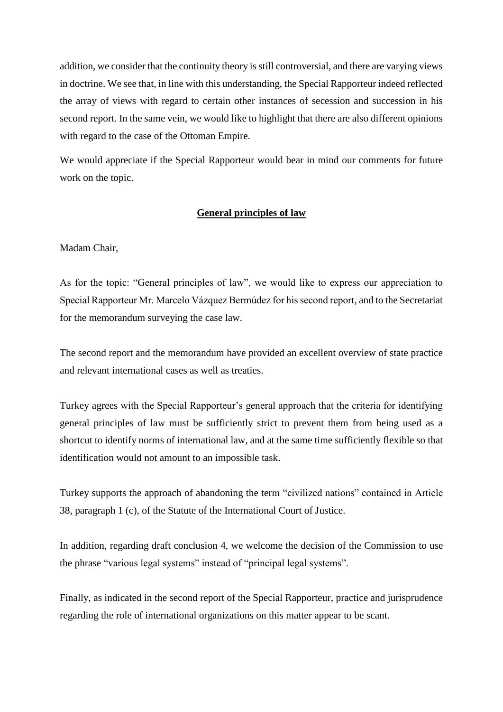addition, we consider that the continuity theory is still controversial, and there are varying views in doctrine. We see that, in line with this understanding, the Special Rapporteur indeed reflected the array of views with regard to certain other instances of secession and succession in his second report. In the same vein, we would like to highlight that there are also different opinions with regard to the case of the Ottoman Empire.

We would appreciate if the Special Rapporteur would bear in mind our comments for future work on the topic.

#### **General principles of law**

#### Madam Chair,

As for the topic: "General principles of law", we would like to express our appreciation to Special Rapporteur Mr. Marcelo Vázquez Bermúdez for his second report, and to the Secretariat for the memorandum surveying the case law.

The second report and the memorandum have provided an excellent overview of state practice and relevant international cases as well as treaties.

Turkey agrees with the Special Rapporteur's general approach that the criteria for identifying general principles of law must be sufficiently strict to prevent them from being used as a shortcut to identify norms of international law, and at the same time sufficiently flexible so that identification would not amount to an impossible task.

Turkey supports the approach of abandoning the term "civilized nations" contained in Article 38, paragraph 1 (c), of the Statute of the International Court of Justice.

In addition, regarding draft conclusion 4, we welcome the decision of the Commission to use the phrase "various legal systems" instead of "principal legal systems".

Finally, as indicated in the second report of the Special Rapporteur, practice and jurisprudence regarding the role of international organizations on this matter appear to be scant.